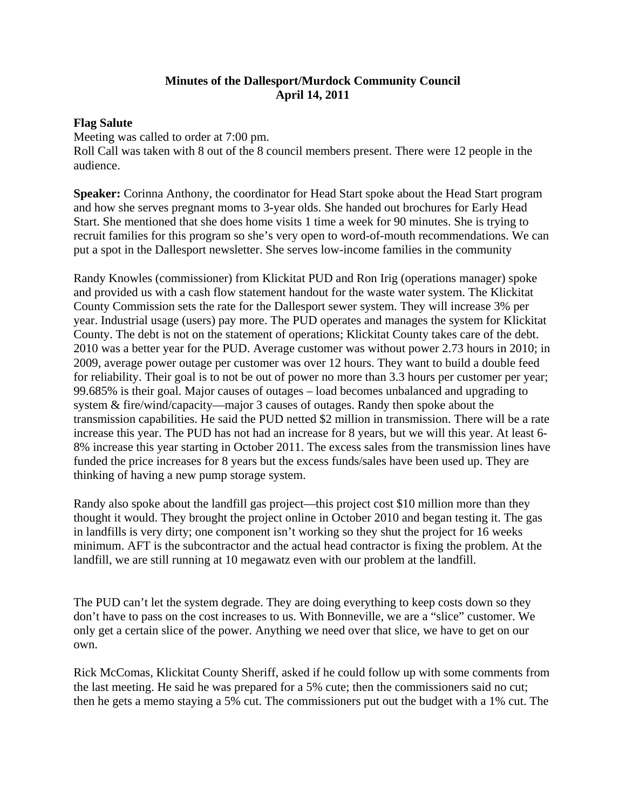## **Minutes of the Dallesport/Murdock Community Council April 14, 2011**

## **Flag Salute**

Meeting was called to order at 7:00 pm. Roll Call was taken with 8 out of the 8 council members present. There were 12 people in the audience.

**Speaker:** Corinna Anthony, the coordinator for Head Start spoke about the Head Start program and how she serves pregnant moms to 3-year olds. She handed out brochures for Early Head Start. She mentioned that she does home visits 1 time a week for 90 minutes. She is trying to recruit families for this program so she's very open to word-of-mouth recommendations. We can put a spot in the Dallesport newsletter. She serves low-income families in the community

Randy Knowles (commissioner) from Klickitat PUD and Ron Irig (operations manager) spoke and provided us with a cash flow statement handout for the waste water system. The Klickitat County Commission sets the rate for the Dallesport sewer system. They will increase 3% per year. Industrial usage (users) pay more. The PUD operates and manages the system for Klickitat County. The debt is not on the statement of operations; Klickitat County takes care of the debt. 2010 was a better year for the PUD. Average customer was without power 2.73 hours in 2010; in 2009, average power outage per customer was over 12 hours. They want to build a double feed for reliability. Their goal is to not be out of power no more than 3.3 hours per customer per year; 99.685% is their goal. Major causes of outages – load becomes unbalanced and upgrading to system & fire/wind/capacity—major 3 causes of outages. Randy then spoke about the transmission capabilities. He said the PUD netted \$2 million in transmission. There will be a rate increase this year. The PUD has not had an increase for 8 years, but we will this year. At least 6- 8% increase this year starting in October 2011. The excess sales from the transmission lines have funded the price increases for 8 years but the excess funds/sales have been used up. They are thinking of having a new pump storage system.

Randy also spoke about the landfill gas project—this project cost \$10 million more than they thought it would. They brought the project online in October 2010 and began testing it. The gas in landfills is very dirty; one component isn't working so they shut the project for 16 weeks minimum. AFT is the subcontractor and the actual head contractor is fixing the problem. At the landfill, we are still running at 10 megawatz even with our problem at the landfill.

The PUD can't let the system degrade. They are doing everything to keep costs down so they don't have to pass on the cost increases to us. With Bonneville, we are a "slice" customer. We only get a certain slice of the power. Anything we need over that slice, we have to get on our own.

Rick McComas, Klickitat County Sheriff, asked if he could follow up with some comments from the last meeting. He said he was prepared for a 5% cute; then the commissioners said no cut; then he gets a memo staying a 5% cut. The commissioners put out the budget with a 1% cut. The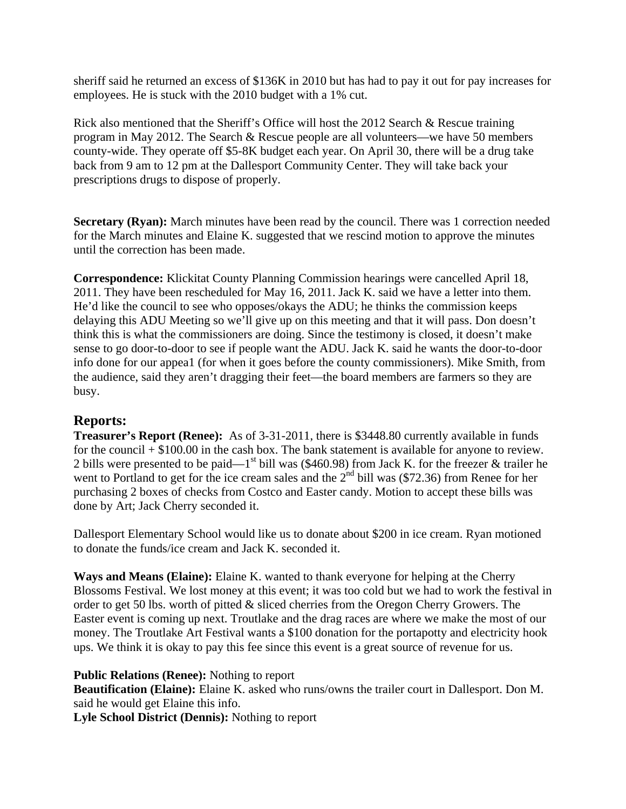sheriff said he returned an excess of \$136K in 2010 but has had to pay it out for pay increases for employees. He is stuck with the 2010 budget with a 1% cut.

Rick also mentioned that the Sheriff's Office will host the 2012 Search & Rescue training program in May 2012. The Search & Rescue people are all volunteers—we have 50 members county-wide. They operate off \$5-8K budget each year. On April 30, there will be a drug take back from 9 am to 12 pm at the Dallesport Community Center. They will take back your prescriptions drugs to dispose of properly.

**Secretary (Ryan):** March minutes have been read by the council. There was 1 correction needed for the March minutes and Elaine K. suggested that we rescind motion to approve the minutes until the correction has been made.

**Correspondence:** Klickitat County Planning Commission hearings were cancelled April 18, 2011. They have been rescheduled for May 16, 2011. Jack K. said we have a letter into them. He'd like the council to see who opposes/okays the ADU; he thinks the commission keeps delaying this ADU Meeting so we'll give up on this meeting and that it will pass. Don doesn't think this is what the commissioners are doing. Since the testimony is closed, it doesn't make sense to go door-to-door to see if people want the ADU. Jack K. said he wants the door-to-door info done for our appea1 (for when it goes before the county commissioners). Mike Smith, from the audience, said they aren't dragging their feet—the board members are farmers so they are busy.

## **Reports:**

**Treasurer's Report (Renee):** As of 3-31-2011, there is \$3448.80 currently available in funds for the council  $+$  \$100.00 in the cash box. The bank statement is available for anyone to review. 2 bills were presented to be paid— $1<sup>st</sup>$  bill was (\$460.98) from Jack K. for the freezer & trailer he went to Portland to get for the ice cream sales and the  $2<sup>nd</sup>$  bill was (\$72.36) from Renee for her purchasing 2 boxes of checks from Costco and Easter candy. Motion to accept these bills was done by Art; Jack Cherry seconded it.

Dallesport Elementary School would like us to donate about \$200 in ice cream. Ryan motioned to donate the funds/ice cream and Jack K. seconded it.

**Ways and Means (Elaine):** Elaine K. wanted to thank everyone for helping at the Cherry Blossoms Festival. We lost money at this event; it was too cold but we had to work the festival in order to get 50 lbs. worth of pitted & sliced cherries from the Oregon Cherry Growers. The Easter event is coming up next. Troutlake and the drag races are where we make the most of our money. The Troutlake Art Festival wants a \$100 donation for the portapotty and electricity hook ups. We think it is okay to pay this fee since this event is a great source of revenue for us.

## **Public Relations (Renee):** Nothing to report

**Beautification (Elaine):** Elaine K. asked who runs/owns the trailer court in Dallesport. Don M. said he would get Elaine this info.

**Lyle School District (Dennis):** Nothing to report